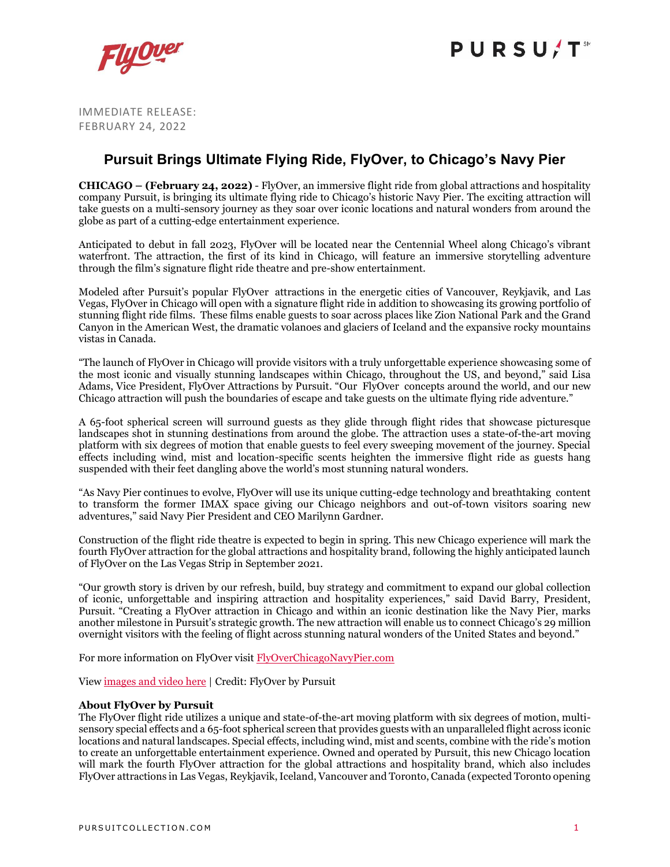

## **PURSU/T**

IMMEDIATE RELEASE: FEBRUARY 24, 2022

### **Pursuit Brings Ultimate Flying Ride, FlyOver, to Chicago's Navy Pier**

**CHICAGO – (February 24, 2022)** - FlyOver, an immersive flight ride from global attractions and hospitality company Pursuit, is bringing its ultimate flying ride to Chicago's historic Navy Pier. The exciting attraction will take guests on a multi-sensory journey as they soar over iconic locations and natural wonders from around the globe as part of a cutting-edge entertainment experience.

Anticipated to debut in fall 2023, FlyOver will be located near the Centennial Wheel along Chicago's vibrant waterfront. The attraction, the first of its kind in Chicago, will feature an immersive storytelling adventure through the film's signature flight ride theatre and pre-show entertainment.

Modeled after Pursuit's popular FlyOver attractions in the energetic cities of Vancouver, Reykjavik, and Las Vegas, FlyOver in Chicago will open with a signature flight ride in addition to showcasing its growing portfolio of stunning flight ride films. These films enable guests to soar across places like Zion National Park and the Grand Canyon in the American West, the dramatic volanoes and glaciers of Iceland and the expansive rocky mountains vistas in Canada.

"The launch of FlyOver in Chicago will provide visitors with a truly unforgettable experience showcasing some of the most iconic and visually stunning landscapes within Chicago, throughout the US, and beyond," said Lisa Adams, Vice President, FlyOver Attractions by Pursuit. "Our FlyOver concepts around the world, and our new Chicago attraction will push the boundaries of escape and take guests on the ultimate flying ride adventure."

A 65-foot spherical screen will surround guests as they glide through flight rides that showcase picturesque landscapes shot in stunning destinations from around the globe. The attraction uses a state-of-the-art moving platform with six degrees of motion that enable guests to feel every sweeping movement of the journey. Special effects including wind, mist and location-specific scents heighten the immersive flight ride as guests hang suspended with their feet dangling above the world's most stunning natural wonders.

"As Navy Pier continues to evolve, FlyOver will use its unique cutting-edge technology and breathtaking content to transform the former IMAX space giving our Chicago neighbors and out-of-town visitors soaring new adventures," said Navy Pier President and CEO Marilynn Gardner.

Construction of the flight ride theatre is expected to begin in spring. This new Chicago experience will mark the fourth FlyOver attraction for the global attractions and hospitality brand, following the highly anticipated launch of FlyOver on the Las Vegas Strip in September 2021.

"Our growth story is driven by our refresh, build, buy strategy and commitment to expand our global collection of iconic, unforgettable and inspiring attraction and hospitality experiences," said David Barry, President, Pursuit. "Creating a FlyOver attraction in Chicago and within an iconic destination like the Navy Pier, marks another milestone in Pursuit's strategic growth. The new attraction will enable us to connect Chicago's 29 million overnight visitors with the feeling of flight across stunning natural wonders of the United States and beyond."

For more information on FlyOver visi[t FlyOverChicagoNavyPier.com](https://www.flyoverchicagonavypier.com/)

View [images](https://pursuitcollection.imagerelay.com/sb/11d677ea-d1de-4c6c-8eaa-7ce369698d9c/flyover-in-chicago-announcement) and video here | Credit: FlyOver by Pursuit

### **About FlyOver by Pursuit**

The FlyOver flight ride utilizes a unique and state-of-the-art moving platform with six degrees of motion, multisensory special effects and a 65-foot spherical screen that provides guests with an unparalleled flight across iconic locations and natural landscapes. Special effects, including wind, mist and scents, combine with the ride's motion to create an unforgettable entertainment experience. Owned and operated by Pursuit, this new Chicago location will mark the fourth FlyOver attraction for the global attractions and hospitality brand, which also includes FlyOver attractions in Las Vegas, Reykjavik, Iceland, Vancouver and Toronto, Canada (expected Toronto opening